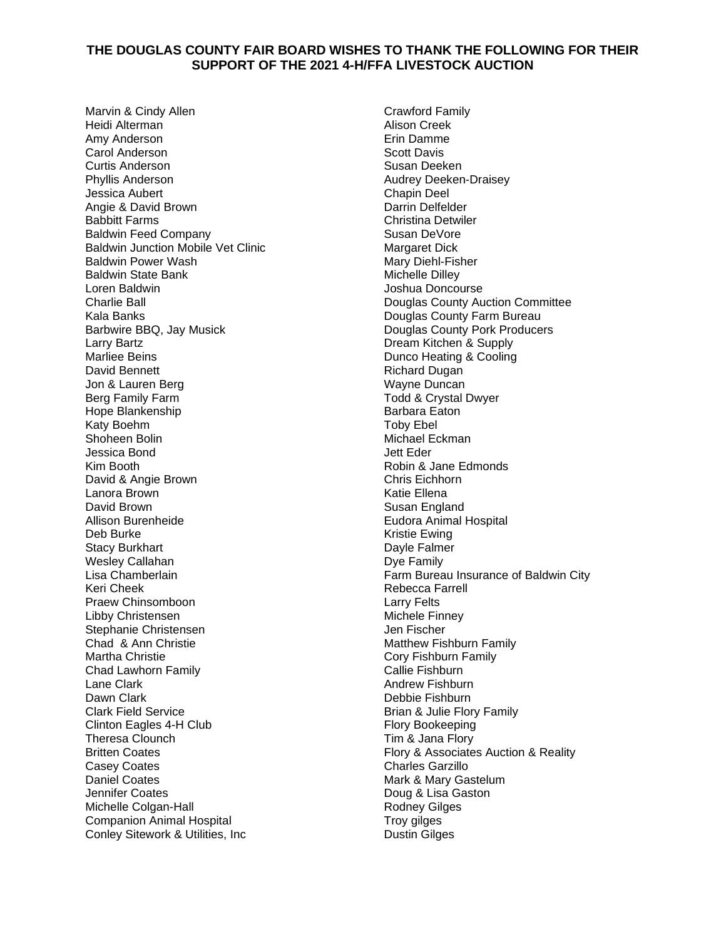## **THE DOUGLAS COUNTY FAIR BOARD WISHES TO THANK THE FOLLOWING FOR THEIR SUPPORT OF THE 2021 4-H/FFA LIVESTOCK AUCTION**

Marvin & Cindy Allen Heidi Alterman Amy Anderson Carol Anderson Curtis Anderson Phyllis Anderson Jessica Aubert Angie & David Brown Babbitt Farms Baldwin Feed Company Baldwin Junction Mobile Vet Clinic Baldwin Power Wash Baldwin State Bank Loren Baldwin Charlie Ball Kala Banks Barbwire BBQ, Jay Musick Larry Bartz Marliee Beins David Bennett Jon & Lauren Berg Berg Family Farm Hope Blankenship Katy Boehm Shoheen Bolin Jessica Bond Kim Booth David & Angie Brown Lanora Brown David Brown Allison Burenheide Deb Burke Stacy Burkhart Wesley Callahan Lisa Chamberlain Keri Cheek Praew Chinsomboon Libby Christensen Stephanie Christensen Chad & Ann Christie Martha Christie Chad Lawhorn Family Lane Clark Dawn Clark Clark Field Service Clinton Eagles 4-H Club Theresa Clounch Britten Coates Casey Coates Daniel Coates Jennifer Coates Michelle Colgan-Hall Companion Animal Hospital Conley Sitework & Utilities, Inc

Crawford Family Alison Creek Erin Damme Scott Davis Susan Deeken Audrey Deeken-Draisey Chapin Deel Darrin Delfelder Christina Detwiler Susan DeVore Margaret Dick Mary Diehl-Fisher Michelle Dilley Joshua Doncourse Douglas County Auction Committee Douglas County Farm Bureau Douglas County Pork Producers Dream Kitchen & Supply Dunco Heating & Cooling Richard Dugan Wayne Duncan Todd & Crystal Dwyer Barbara Eaton Toby Ebel Michael Eckman Jett Eder Robin & Jane Edmonds Chris Eichhorn Katie Ellena Susan England Eudora Animal Hospital Kristie Ewing Dayle Falmer Dye Family Farm Bureau Insurance of Baldwin City Rebecca Farrell Larry Felts Michele Finney Jen Fischer Matthew Fishburn Family Cory Fishburn Family Callie Fishburn Andrew Fishburn Debbie Fishburn Brian & Julie Flory Family Flory Bookeeping Tim & Jana Flory Flory & Associates Auction & Reality Charles Garzillo Mark & Mary Gastelum Doug & Lisa Gaston Rodney Gilges Troy gilges Dustin Gilges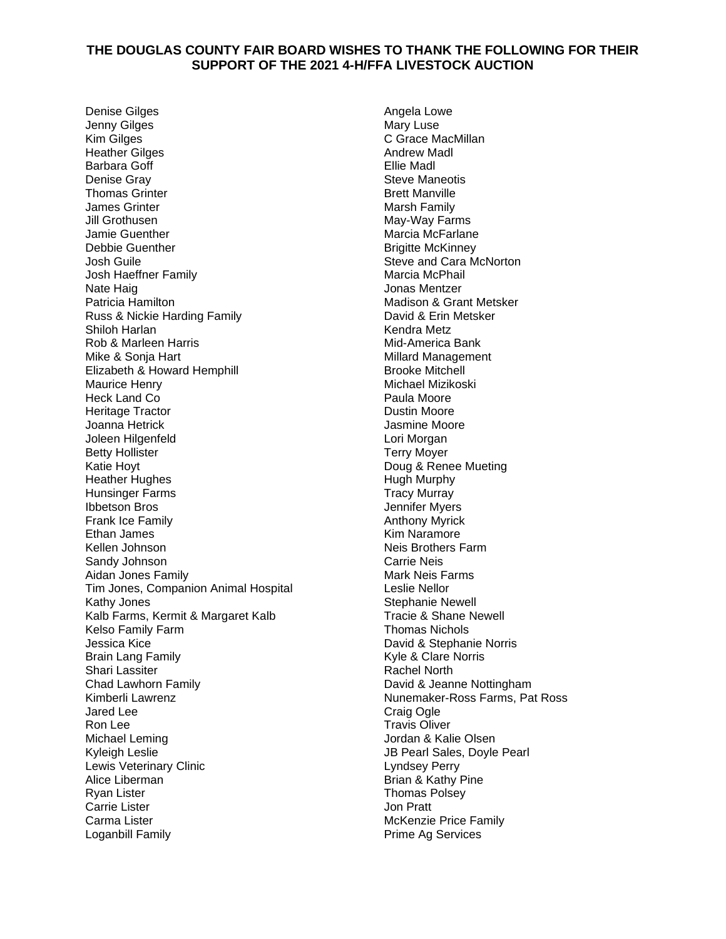## **THE DOUGLAS COUNTY FAIR BOARD WISHES TO THANK THE FOLLOWING FOR THEIR SUPPORT OF THE 2021 4-H/FFA LIVESTOCK AUCTION**

Denise Gilges Jenny Gilges Kim Gilges Heather Gilges Barbara Goff Denise Gray Thomas Grinter James Grinter Jill Grothusen Jamie Guenther Debbie Guenther Josh Guile Josh Haeffner Family Nate Haig Patricia Hamilton Russ & Nickie Harding Family Shiloh Harlan Rob & Marleen Harris Mike & Sonja Hart Elizabeth & Howard Hemphill Maurice Henry Heck Land Co Heritage Tractor Joanna Hetrick Joleen Hilgenfeld Betty Hollister Katie Hoyt Heather Hughes Hunsinger Farms Ibbetson Bros Frank Ice Family Ethan James Kellen Johnson Sandy Johnson Aidan Jones Family Tim Jones, Companion Animal Hospital Kathy Jones Kalb Farms, Kermit & Margaret Kalb Kelso Family Farm Jessica Kice Brain Lang Family Shari Lassiter Chad Lawhorn Family Kimberli Lawrenz Jared Lee Ron Lee Michael Leming Kyleigh Leslie Lewis Veterinary Clinic Alice Liberman Ryan Lister Carrie Lister Carma Lister Loganbill Family

Angela Lowe Mary Luse C Grace MacMillan Andrew Madl Ellie Madl Steve Maneotis Brett Manville Marsh Family May-Way Farms Marcia McFarlane Brigitte McKinney Steve and Cara McNorton Marcia McPhail Jonas Mentzer Madison & Grant Metsker David & Erin Metsker Kendra Metz Mid-America Bank Millard Management Brooke Mitchell Michael Mizikoski Paula Moore Dustin Moore Jasmine Moore Lori Morgan Terry Moyer Doug & Renee Mueting Hugh Murphy Tracy Murray Jennifer Myers Anthony Myrick Kim Naramore Neis Brothers Farm Carrie Neis Mark Neis Farms Leslie Nellor Stephanie Newell Tracie & Shane Newell Thomas Nichols David & Stephanie Norris Kyle & Clare Norris Rachel North David & Jeanne Nottingham Nunemaker-Ross Farms, Pat Ross Craig Ogle Travis Oliver Jordan & Kalie Olsen JB Pearl Sales, Doyle Pearl Lyndsey Perry Brian & Kathy Pine Thomas Polsey Jon Pratt McKenzie Price Family Prime Ag Services